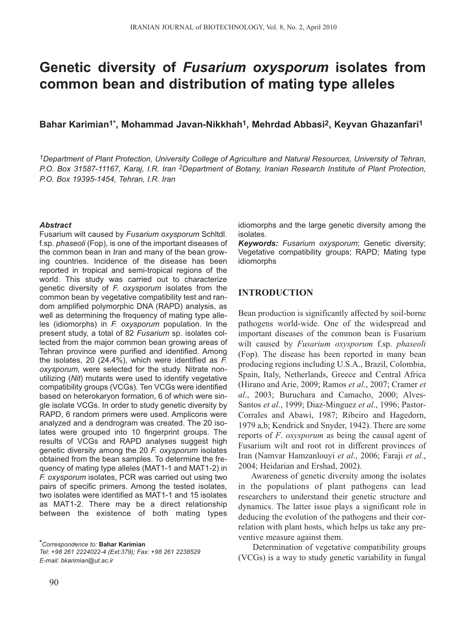# **Genetic diversity of** *Fusarium oxysporum* **isolates from common bean and distribution of mating type alleles**

**Bahar Karimian1\*, Mohammad Javan-Nikkhah1, Mehrdad Abbasi2, Keyvan Ghazanfari1**

*1Department of Plant Protection, University College of Agriculture and Natural Resources, University of Tehran, P.O. Box 31587-11167, Karaj, I.R. Iran 2Department of Botany, Iranian Research Institute of Plant Protection, P.O. Box 19395-1454, Tehran, I.R. Iran*

#### *Abstract*

Fusarium wilt caused by *Fusarium oxysporum* Schltdl. f.sp. *phaseoli* (Fop), is one of the important diseases of the common bean in Iran and many of the bean growing countries. Incidence of the disease has been reported in tropical and semi-tropical regions of the world. This study was carried out to characterize genetic diversity of *F. oxysporum* isolates from the common bean by vegetative compatibility test and random amplified polymorphic DNA (RAPD) analysis, as well as determining the frequency of mating type alleles (idiomorphs) in *F. oxysporum* population. In the present study, a total of 82 *Fusarium* sp. isolates collected from the major common bean growing areas of Tehran province were purified and identified. Among the isolates, 20 (24.4%), which were identified as *F. oxysporum,* were selected for the study. Nitrate nonutilizing (*Nit*) mutants were used to identify vegetative compatibility groups (VCGs). Ten VCGs were identified based on heterokaryon formation, 6 of which were single isolate VCGs. In order to study genetic diversity by RAPD, 6 random primers were used. Amplicons were analyzed and a dendrogram was created. The 20 isolates were grouped into 10 fingerprint groups. The results of VCGs and RAPD analyses suggest high genetic diversity among the 20 *F. oxysporum* isolates obtained from the bean samples. To determine the frequency of mating type alleles (MAT1-1 and MAT1-2) in *F. oxysporum* isolates, PCR was carried out using two pairs of specific primers. Among the tested isolates, two isolates were identified as MAT1-1 and 15 isolates as MAT1-2. There may be a direct relationship between the existence of both mating types

*\*Correspondence to:* **Bahar Karimian**

*Tel: +98 261 2224022-4 (Ext:379); Fax: +98 261 2238529 E-mail: bkarimian@ut.ac.ir*

idiomorphs and the large genetic diversity among the isolates.

*Keywords: Fusarium oxysporum*; Genetic diversity; Vegetative compatibility groups; RAPD; Mating type idiomorphs

# **INTRODUCTION**

Bean production is significantly affected by soil-borne pathogens world-wide. One of the widespread and important diseases of the common bean is Fusarium wilt caused by *Fusarium oxysporum* f.sp. *phaseoli* (Fop). The disease has been reported in many bean producing regions including U.S.A., Brazil, Colombia, Spain, Italy, Netherlands, Greece and Central Africa (Hirano and Arie, 2009; Ramos *et al*., 2007; Cramer *et al*., 2003; Buruchara and Camacho, 2000; Alves-Santos *et al*., 1999; Diaz-Minguez *et al*., 1996; Pastor-Corrales and Abawi, 1987; Ribeiro and Hagedorn, 1979 a,b; Kendrick and Snyder, 1942). There are some reports of *F*. *oxysporum* as being the causal agent of Fusarium wilt and root rot in different provinces of Iran (Namvar Hamzanlouyi *et al*., 2006; Faraji *et al*., 2004; Heidarian and Ershad, 2002).

Awareness of genetic diversity among the isolates in the populations of plant pathogens can lead researchers to understand their genetic structure and dynamics. The latter issue plays a significant role in deducing the evolution of the pathogens and their correlation with plant hosts, which helps us take any preventive measure against them.

Determination of vegetative compatibility groups (VCGs) is a way to study genetic variability in fungal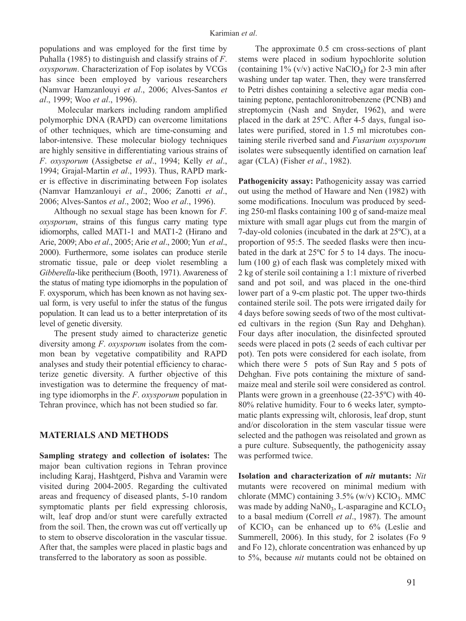populations and was employed for the first time by Puhalla (1985) to distinguish and classify strains of *F*. *oxysporum*. Characterization of Fop isolates by VCGs has since been employed by various researchers (Namvar Hamzanlouyi *et al*., 2006; Alves-Santos *et al*., 1999; Woo *et al*., 1996).

Molecular markers including random amplified polymorphic DNA (RAPD) can overcome limitations of other techniques, which are time-consuming and labor-intensive. These molecular biology techniques are highly sensitive in differentiating various strains of *F*. *oxysporum* (Assigbetse *et al*., 1994; Kelly *et al*., 1994; Grajal-Martin *et al*., 1993). Thus, RAPD marker is effective in discriminating between Fop isolates (Namvar Hamzanlouyi *et al*., 2006; Zanotti *et al*., 2006; Alves-Santos *et al*., 2002; Woo *et al*., 1996).

Although no sexual stage has been known for *F*. *oxysporum*, strains of this fungus carry mating type idiomorphs, called MAT1-1 and MAT1-2 (Hirano and Arie, 2009; Abo *et al*., 2005; Arie *et al*., 2000; Yun *et al*., 2000). Furthermore, some isolates can produce sterile stromatic tissue, pale or deep violet resembling a *Gibberella*-like perithecium (Booth, 1971). Awareness of the status of mating type idiomorphs in the population of F. oxysporum, which has been known as not having sexual form, is very useful to infer the status of the fungus population. It can lead us to a better interpretation of its level of genetic diversity.

The present study aimed to characterize genetic diversity among *F*. *oxysporum* isolates from the common bean by vegetative compatibility and RAPD analyses and study their potential efficiency to characterize genetic diversity. A further objective of this investigation was to determine the frequency of mating type idiomorphs in the *F*. *oxysporum* population in Tehran province, which has not been studied so far.

## **MATERIALS AND METHODS**

**Sampling strategy and collection of isolates:** The major bean cultivation regions in Tehran province including Karaj, Hashtgerd, Pishva and Varamin were visited during 2004-2005. Regarding the cultivated areas and frequency of diseased plants, 5-10 random symptomatic plants per field expressing chlorosis, wilt, leaf drop and/or stunt were carefully extracted from the soil. Then, the crown was cut off vertically up to stem to observe discoloration in the vascular tissue. After that, the samples were placed in plastic bags and transferred to the laboratory as soon as possible.

The approximate 0.5 cm cross-sections of plant stems were placed in sodium hypochlorite solution (containing  $1\%$  (v/v) active NaClO<sub>4</sub>) for 2-3 min after washing under tap water. Then, they were transferred to Petri dishes containing a selective agar media containing peptone, pentachloronitrobenzene (PCNB) and streptomycin (Nash and Snyder, 1962), and were placed in the dark at 25ºC. After 4-5 days, fungal isolates were purified, stored in 1.5 ml microtubes containing sterile riverbed sand and *Fusarium oxysporum* isolates were subsequently identified on carnation leaf agar (CLA) (Fisher *et al*., 1982).

Pathogenicity assay: Pathogenicity assay was carried out using the method of Haware and Nen (1982) with some modifications. Inoculum was produced by seeding 250-ml flasks containing 100 g of sand-maize meal mixture with small agar plugs cut from the margin of 7-day-old colonies (incubated in the dark at 25ºC), at a proportion of 95:5. The seeded flasks were then incubated in the dark at 25ºC for 5 to 14 days. The inoculum (100 g) of each flask was completely mixed with 2 kg of sterile soil containing a 1:1 mixture of riverbed sand and pot soil, and was placed in the one-third lower part of a 9-cm plastic pot. The upper two-thirds contained sterile soil. The pots were irrigated daily for 4 days before sowing seeds of two of the most cultivated cultivars in the region (Sun Ray and Dehghan). Four days after inoculation, the disinfected sprouted seeds were placed in pots (2 seeds of each cultivar per pot). Ten pots were considered for each isolate, from which there were 5 pots of Sun Ray and 5 pots of Dehghan. Five pots containing the mixture of sandmaize meal and sterile soil were considered as control. Plants were grown in a greenhouse (22-35ºC) with 40- 80% relative humidity. Four to 6 weeks later, symptomatic plants expressing wilt, chlorosis, leaf drop, stunt and/or discoloration in the stem vascular tissue were selected and the pathogen was reisolated and grown as a pure culture. Subsequently, the pathogenicity assay was performed twice.

**Isolation and characterization of** *nit* **mutants:** *Nit* mutants were recovered on minimal medium with chlorate (MMC) containing  $3.5\%$  (w/v) KClO<sub>3</sub>. MMC was made by adding  $\text{Na}\text{N0}_3$ , L-asparagine and  $\text{KCLO}_3$ to a basal medium (Correll *et al*., 1987). The amount of  $KClO<sub>3</sub>$  can be enhanced up to 6% (Leslie and Summerell, 2006). In this study, for 2 isolates (Fo 9 and Fo 12), chlorate concentration was enhanced by up to 5%, because *nit* mutants could not be obtained on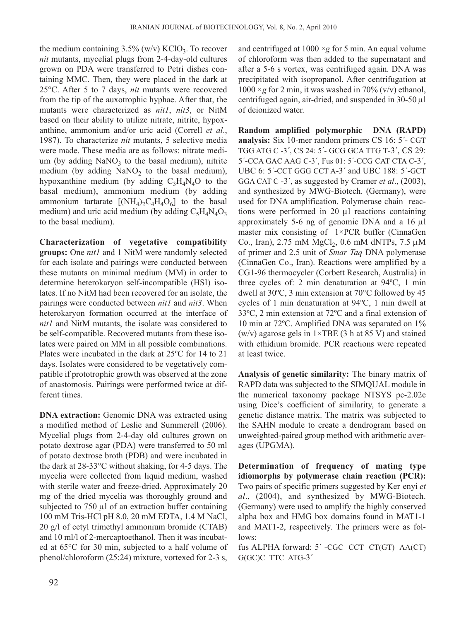the medium containing  $3.5\%$  (w/v) KClO<sub>3</sub>. To recover *nit* mutants, mycelial plugs from 2-4-day-old cultures grown on PDA were transferred to Petri dishes containing MMC. Then, they were placed in the dark at 25°C. After 5 to 7 days, *nit* mutants were recovered from the tip of the auxotrophic hyphae. After that, the mutants were characterized as *nit1*, *nit3*, or NitM based on their ability to utilize nitrate, nitrite, hypoxanthine, ammonium and/or uric acid (Correll *et al*., 1987). To characterize *nit* mutants, 5 selective media were made. These media are as follows: nitrate medium (by adding  $NaNO<sub>3</sub>$  to the basal medium), nitrite medium (by adding  $NaNO<sub>2</sub>$  to the basal medium), hypoxanthine medium (by adding  $C_3H_4N_4O$  to the basal medium), ammonium medium (by adding ammonium tartarate  $[(NH_4)_2C_4H_4O_6]$  to the basal medium) and uric acid medium (by adding  $C_5H_4N_4O_3$ to the basal medium).

**Characterization of vegetative compatibility groups:** One *nit1* and 1 NitM were randomly selected for each isolate and pairings were conducted between these mutants on minimal medium (MM) in order to determine heterokaryon self-incompatible (HSI) isolates. If no NitM had been recovered for an isolate, the pairings were conducted between *nit1* and *nit3*. When heterokaryon formation occurred at the interface of *nit1* and NitM mutants, the isolate was considered to be self-compatible. Recovered mutants from these isolates were paired on MM in all possible combinations. Plates were incubated in the dark at 25ºC for 14 to 21 days. Isolates were considered to be vegetatively compatible if prototrophic growth was observed at the zone of anastomosis. Pairings were performed twice at different times.

**DNA extraction:** Genomic DNA was extracted using a modified method of Leslie and Summerell (2006). Mycelial plugs from 2-4-day old cultures grown on potato dextrose agar (PDA) were transferred to 50 ml of potato dextrose broth (PDB) and were incubated in the dark at 28-33°C without shaking, for 4-5 days. The mycelia were collected from liquid medium, washed with sterile water and freeze-dried. Approximately 20 mg of the dried mycelia was thoroughly ground and subjected to 750 μl of an extraction buffer containing 100 mM Tris-HCl pH 8.0, 20 mM EDTA, 1.4 M NaCl, 20 g/l of cetyl trimethyl ammonium bromide (CTAB) and 10 ml/l of 2-mercaptoethanol. Then it was incubated at 65°C for 30 min, subjected to a half volume of phenol/chloroform (25:24) mixture, vortexed for 2-3 s, and centrifuged at 1000 ×*g* for 5 min. An equal volume of chloroform was then added to the supernatant and after a 5-6 s vortex, was centrifuged again. DNA was precipitated with isopropanol. After centrifugation at  $1000 \times g$  for 2 min, it was washed in 70% (v/v) ethanol, centrifuged again, air-dried, and suspended in 30-50 μl of deionized water.

**Random amplified polymorphic DNA (RAPD) analysis:** Six 10-mer random primers CS 16: 5´- CGT TGG ATG C -3´, CS 24: 5´- GCG GCA TTG T-3´, CS 29: 5´-CCA GAC AAG C-3´, Fus 01: 5´-CCG CAT CTA C-3´, UBC 6: 5´-CCT GGG CCT A-3´ and UBC 188: 5´-GCT GGA CAT C -3´, as suggested by Cramer *et al*., (2003), and synthesized by MWG-Biotech. (Germany), were used for DNA amplification. Polymerase chain reactions were performed in 20 μl reactions containing approximately 5-6 ng of genomic DNA and a 16 μl master mix consisting of 1×PCR buffer (CinnaGen Co., Iran), 2.75 mM  $MgCl_2$ , 0.6 mM dNTPs, 7.5  $\mu$ M of primer and 2.5 unit of *Smar Taq* DNA polymerase (CinnaGen Co., Iran). Reactions were amplified by a CG1-96 thermocycler (Corbett Research, Australia) in three cycles of: 2 min denaturation at 94ºC, 1 min dwell at 30ºC, 3 min extension at 70°C followed by 45 cycles of 1 min denaturation at 94ºC, 1 min dwell at 33ºC, 2 min extension at 72ºC and a final extension of 10 min at 72ºC. Amplified DNA was separated on 1% (w/v) agarose gels in  $1 \times TBE$  (3 h at 85 V) and stained with ethidium bromide. PCR reactions were repeated at least twice.

**Analysis of genetic similarity:** The binary matrix of RAPD data was subjected to the SIMQUAL module in the numerical taxonomy package NTSYS pc-2.02e using Dice's coefficient of similarity, to generate a genetic distance matrix. The matrix was subjected to the SAHN module to create a dendrogram based on unweighted-paired group method with arithmetic averages (UPGMA).

**Determination of frequency of mating type idiomorphs by polymerase chain reaction (PCR):** Two pairs of specific primers suggested by Ker'enyi *et al*., (2004), and synthesized by MWG-Biotech. (Germany) were used to amplify the highly conserved alpha box and HMG box domains found in MAT1-1 and MAT1-2, respectively. The primers were as follows:

fus ALPHA forward: 5´ -CGC CCT CT(GT) AA(CT) G(GC)C TTC ATG-3´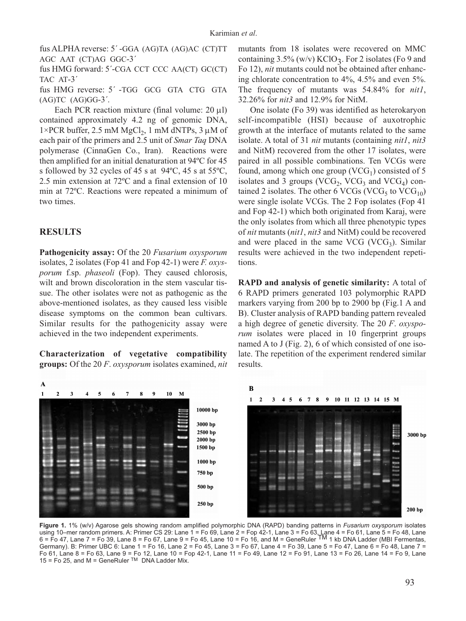fus ALPHA reverse: 5´ -GGA (AG)TA (AG)AC (CT)TT AGC AAT (CT)AG GGC-3´

fus HMG forward: 5´-CGA CCT CCC AA(CT) GC(CT) TAC AT-3´

fus HMG reverse: 5´ -TGG GCG GTA CTG GTA  $(AG)TC$   $(AG)GG-3'$ .

Each PCR reaction mixture (final volume:  $20 \mu l$ ) contained approximately 4.2 ng of genomic DNA,  $1\times$ PCR buffer, 2.5 mM MgCl<sub>2</sub>, 1 mM dNTPs, 3  $\mu$ M of each pair of the primers and 2.5 unit of *Smar Taq* DNA polymerase (CinnaGen Co., Iran). Reactions were then amplified for an initial denaturation at 94ºC for 45 s followed by 32 cycles of 45 s at 94ºC, 45 s at 55ºC, 2.5 min extension at 72ºC and a final extension of 10 min at 72ºC. Reactions were repeated a minimum of two times.

#### **RESULTS**

**Pathogenicity assay:** Of the 20 *Fusarium oxysporum* isolates, 2 isolates (Fop 41 and Fop 42-1) were *F. oxysporum* f.sp. *phaseoli* (Fop). They caused chlorosis, wilt and brown discoloration in the stem vascular tissue. The other isolates were not as pathogenic as the above-mentioned isolates, as they caused less visible disease symptoms on the common bean cultivars. Similar results for the pathogenicity assay were achieved in the two independent experiments.

**Characterization of vegetative compatibility groups:** Of the 20 *F*. *oxysporum* isolates examined, *nit* mutants from 18 isolates were recovered on MMC containing  $3.5\%$  (w/v) KClO<sub>3</sub>. For 2 isolates (Fo 9 and Fo 12), *nit* mutants could not be obtained after enhancing chlorate concentration to 4%, 4.5% and even 5%. The frequency of mutants was 54.84% for *nit1*, 32.26% for *nit3* and 12.9% for NitM.

One isolate (Fo 39) was identified as heterokaryon self-incompatible (HSI) because of auxotrophic growth at the interface of mutants related to the same isolate. A total of 31 *nit* mutants (containing *nit1*, *nit3* and NitM) recovered from the other 17 isolates, were paired in all possible combinations. Ten VCGs were found, among which one group  $(VCG<sub>1</sub>)$  consisted of 5 isolates and 3 groups (VCG<sub>2</sub>, VCG<sub>3</sub> and VCG<sub>4</sub>) contained 2 isolates. The other 6 VCGs (VCG<sub>5</sub> to VCG<sub>10</sub>) were single isolate VCGs. The 2 Fop isolates (Fop 41 and Fop 42-1) which both originated from Karaj, were the only isolates from which all three phenotypic types of *nit* mutants (*nit1*, *nit3* and NitM) could be recovered and were placed in the same VCG (VCG<sub>3</sub>). Similar results were achieved in the two independent repetitions.

**RAPD and analysis of genetic similarity:** A total of 6 RAPD primers generated 103 polymorphic RAPD markers varying from 200 bp to 2900 bp (Fig.1 A and B). Cluster analysis of RAPD banding pattern revealed a high degree of genetic diversity. The 20 *F*. *oxysporum* isolates were placed in 10 fingerprint groups named A to J (Fig. 2), 6 of which consisted of one isolate. The repetition of the experiment rendered similar results.



**Figure 1.** 1% (w/v) Agarose gels showing random amplified polymorphic DNA (RAPD) banding patterns in *Fusarium oxysporum* isolates using 10–mer random primers. A: Primer CS 29: Lane 1 = Fo 69, Lane 2 = Fop 42-1, Lane 3 = Fo 63, Lane 4 = Fo 61, Lane 5 = Fo 48, Lane<br>6 = Fo 47, Lane 7 = Fo 39, Lane 8 = Fo 67, Lane 9 = Fo 45, Lane 10 = Fo 16, and M = Gene Germany). B: Primer UBC 6: Lane 1 = Fo 16, Lane 2 = Fo 45, Lane 3 = Fo 67, Lane 4 = Fo 39, Lane 5 = Fo 47, Lane 6 = Fo 48, Lane 7 = Fo 61, Lane 8 = Fo 63, Lane 9 = Fo 12, Lane 10 = Fop 42-1, Lane 11 = Fo 49, Lane 12 = Fo 91, Lane 13 = Fo 26, Lane 14 = Fo 9, Lane  $15$  = Fo 25, and M = GeneRuler  $TM$  DNA Ladder Mix.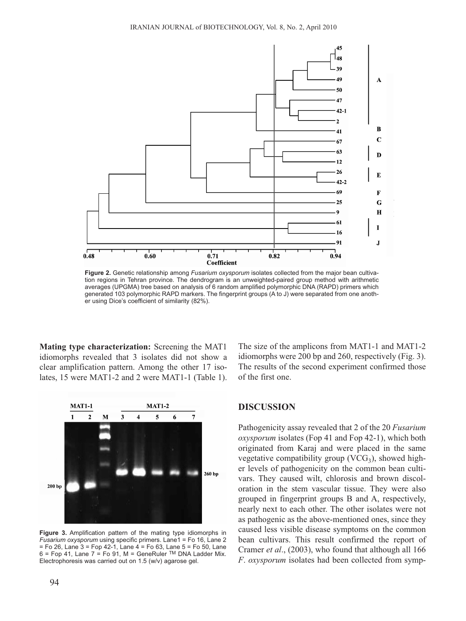

**Figure 2.** Genetic relationship among *Fusarium oxysporum* isolates collected from the major bean cultivation regions in Tehran province. The dendrogram is an unweighted-paired group method with arithmetic averages (UPGMA) tree based on analysis of 6 random amplified polymorphic DNA (RAPD) primers which generated 103 polymorphic RAPD markers. The fingerprint groups (A to J) were separated from one another using Dice's coefficient of similarity (82%).

**Mating type characterization:** Screening the MAT1 idiomorphs revealed that 3 isolates did not show a clear amplification pattern. Among the other 17 isolates, 15 were MAT1-2 and 2 were MAT1-1 (Table 1).



**Figure 3.** Amplification pattern of the mating type idiomorphs in *Fusarium oxysporum* using specific primers. Lane1 = Fo 16, Lane 2 = Fo 26, Lane 3 = Fop 42-1, Lane 4 = Fo 63, Lane 5 = Fo 50, Lane  $6$  = Fop 41, Lane 7 = Fo 91, M = GeneRuler TM DNA Ladder Mix. Electrophoresis was carried out on 1.5 (w/v) agarose gel.

The size of the amplicons from MAT1-1 and MAT1-2 idiomorphs were 200 bp and 260, respectively (Fig. 3). The results of the second experiment confirmed those of the first one.

#### **DISCUSSION**

Pathogenicity assay revealed that 2 of the 20 *Fusarium oxysporum* isolates (Fop 41 and Fop 42-1), which both originated from Karaj and were placed in the same vegetative compatibility group  $(VCG<sub>3</sub>)$ , showed higher levels of pathogenicity on the common bean cultivars. They caused wilt, chlorosis and brown discoloration in the stem vascular tissue. They were also grouped in fingerprint groups B and A, respectively, nearly next to each other. The other isolates were not as pathogenic as the above-mentioned ones, since they caused less visible disease symptoms on the common bean cultivars. This result confirmed the report of Cramer *et al*., (2003), who found that although all 166 *F*. *oxysporum* isolates had been collected from symp-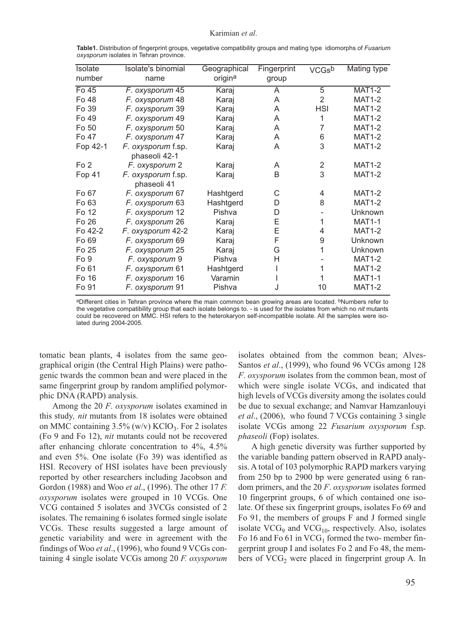#### Karimian *et al*.

| Isolate         | Isolate's binomial                | Geographical | Fingerprint | <b>VCGsb</b>   | Mating type   |
|-----------------|-----------------------------------|--------------|-------------|----------------|---------------|
| number          | name                              | origina      | group       |                |               |
| $F0$ 45         | F. oxysporum 45                   | Karaj        | A           | 5              | $MAT1-2$      |
| Fo 48           | F. oxysporum 48                   | Karaj        | A           | 2              | <b>MAT1-2</b> |
| Fo 39           | F. oxysporum 39                   | Karaj        | A           | <b>HSI</b>     | <b>MAT1-2</b> |
| Fo 49           | F. oxysporum 49                   | Karaj        | A           | 1              | <b>MAT1-2</b> |
| Fo 50           | F. oxysporum 50                   | Karaj        | A           | 7              | <b>MAT1-2</b> |
| Fo 47           | F. oxysporum 47                   | Karaj        | A           | 6              | <b>MAT1-2</b> |
| Fop 42-1        | F. oxysporum f.sp.                | Karaj        | A           | 3              | <b>MAT1-2</b> |
|                 | phaseoli 42-1                     |              |             |                |               |
| Fo <sub>2</sub> | F. oxysporum 2                    | Karaj        | A           | $\overline{2}$ | <b>MAT1-2</b> |
| Fop 41          | F. oxysporum f.sp.<br>phaseoli 41 | Karaj        | B           | 3              | <b>MAT1-2</b> |
| Fo 67           | F. oxysporum 67                   | Hashtgerd    | С           | 4              | <b>MAT1-2</b> |
| Fo 63           | F. oxysporum 63                   | Hashtgerd    | D           | 8              | <b>MAT1-2</b> |
| Fo 12           | F. oxysporum 12                   | Pishva       | D           |                | Unknown       |
| Fo 26           | F. oxysporum 26                   | Karaj        | E           | 1              | <b>MAT1-1</b> |
| Fo 42-2         | F. oxysporum 42-2                 | Karaj        | E           | 4              | <b>MAT1-2</b> |
| Fo 69           | F. oxysporum 69                   | Karaj        | F           | 9              | Unknown       |
| Fo 25           | F. oxysporum 25                   | Karaj        | G           | 1              | Unknown       |
| Fo <sub>9</sub> | F. oxysporum 9                    | Pishva       | Η           |                | <b>MAT1-2</b> |
| Fo 61           | F. oxysporum 61                   | Hashtgerd    |             | 1              | <b>MAT1-2</b> |
| Fo 16           | F. oxysporum 16                   | Varamin      |             | 1              | <b>MAT1-1</b> |
| Fo 91           | F. oxysporum 91                   | Pishva       | J           | 10             | <b>MAT1-2</b> |

**Table1.** Distribution of fingerprint groups, vegetative compatibility groups and mating type idiomorphs of *Fusarium oxysporum* isolates in Tehran province.

aDifferent cities in Tehran province where the main common bean growing areas are located. <sup>b</sup>Numbers refer to the vegetative compatibility group that each isolate belongs to. - is used for the isolates from which no *nit* mutants could be recovered on MMC. HSI refers to the heterokaryon self-incompatible isolate. All the samples were isolated during 2004-2005.

tomatic bean plants, 4 isolates from the same geographical origin (the Central High Plains) were pathogenic twards the common bean and were placed in the same fingerprint group by random amplified polymorphic DNA (RAPD) analysis.

Among the 20 *F*. *oxysporum* isolates examined in this study*, nit* mutants from 18 isolates were obtained on MMC containing  $3.5\%$  (w/v) KClO<sub>3</sub>. For 2 isolates (Fo 9 and Fo 12), *nit* mutants could not be recovered after enhancing chlorate concentration to 4%, 4.5% and even 5%. One isolate (Fo 39) was identified as HSI. Recovery of HSI isolates have been previously reported by other researchers including Jacobson and Gordon (1988) and Woo *et al*., (1996). The other 17 *F. oxysporum* isolates were grouped in 10 VCGs. One VCG contained 5 isolates and 3VCGs consisted of 2 isolates. The remaining 6 isolates formed single isolate VCGs. These results suggested a large amount of genetic variability and were in agreement with the findings of Woo *et al*., (1996), who found 9 VCGs containing 4 single isolate VCGs among 20 *F. oxysporum* isolates obtained from the common bean; Alves-Santos *et al*., (1999), who found 96 VCGs among 128 *F*. *oxysporum* isolates from the common bean, most of which were single isolate VCGs, and indicated that high levels of VCGs diversity among the isolates could be due to sexual exchange; and Namvar Hamzanlouyi *et al*., (2006), who found 7 VCGs containing 3 single isolate VCGs among 22 *Fusarium oxysporum* f.sp. *phaseoli* (Fop) isolates.

A high genetic diversity was further supported by the variable banding pattern observed in RAPD analysis. A total of 103 polymorphic RAPD markers varying from 250 bp to 2900 bp were generated using 6 random primers, and the 20 *F*. *oxysporum* isolates formed 10 fingerprint groups, 6 of which contained one isolate. Of these six fingerprint groups, isolates Fo 69 and Fo 91, the members of groups F and J formed single isolate  $VCG<sub>9</sub>$  and  $VCG<sub>10</sub>$ , respectively. Also, isolates Fo 16 and Fo 61 in  $VCG<sub>1</sub>$  formed the two- member fingerprint group I and isolates Fo 2 and Fo 48, the members of  $VCG<sub>2</sub>$  were placed in fingerprint group A. In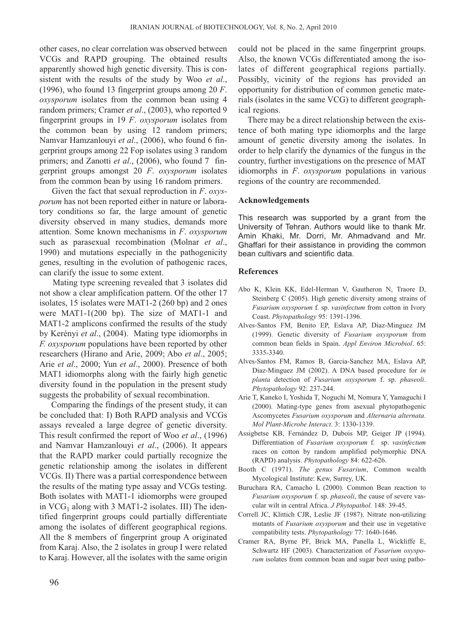other cases, no clear correlation was observed between VCGs and RAPD grouping. The obtained results apparently showed high genetic diversity. This is consistent with the results of the study by Woo *et al*., (1996), who found 13 fingerprint groups among 20 *F*. *oxysporum* isolates from the common bean using 4 random primers; Cramer *et al*., (2003), who reported 9 fingerprint groups in 19 *F*. *oxysporum* isolates from the common bean by using 12 random primers; Namvar Hamzanlouyi *et al*., (2006), who found 6 fingerprint groups among 22 Fop isolates using 3 random primers; and Zanotti *et al*., (2006), who found 7 fingerprint groups amongst 20 *F*. *oxysporum* isolates from the common bean by using 16 random primers.

Given the fact that sexual reproduction in *F*. *oxysporum* has not been reported either in nature or laboratory conditions so far, the large amount of genetic diversity observed in many studies, demands more attention. Some known mechanisms in *F*. *oxysporum* such as parasexual recombination (Molnar *et al*., 1990) and mutations especially in the pathogenicity genes, resulting in the evolution of pathogenic races, can clarify the issue to some extent.

Mating type screening revealed that 3 isolates did not show a clear amplification pattern. Of the other 17 isolates, 15 isolates were MAT1-2 (260 bp) and 2 ones were MAT1-1(200 bp). The size of MAT1-1 and MAT1-2 amplicons confirmed the results of the study by Kerényi *et al*., (2004). Mating type idiomorphs in *F. oxysporum* populations have been reported by other researchers (Hirano and Arie, 2009; Abo *et al*., 2005; Arie *et al*., 2000; Yun *et al*., 2000). Presence of both MAT1 idiomorphs along with the fairly high genetic diversity found in the population in the present study suggests the probability of sexual recombination.

Comparing the findings of the present study, it can be concluded that: I) Both RAPD analysis and VCGs assays revealed a large degree of genetic diversity. This result confirmed the report of Woo *et al*., (1996) and Namvar Hamzanlouyi *et al*., (2006). It appears that the RAPD marker could partially recognize the genetic relationship among the isolates in different VCGs. II) There was a partial correspondence between the results of the mating type assay and VCGs testing. Both isolates with MAT1-1 idiomorphs were grouped in  $VCG<sub>1</sub>$  along with 3 MAT1-2 isolates. III) The identified fingerprint groups could partially differentiate among the isolates of different geographical regions. All the 8 members of fingerprint group A originated from Karaj. Also, the 2 isolates in group I were related to Karaj. However, all the isolates with the same origin could not be placed in the same fingerprint groups. Also, the known VCGs differentiated among the isolates of different geographical regions partially. Possibly, vicinity of the regions has provided an opportunity for distribution of common genetic materials (isolates in the same VCG) to different geographical regions.

There may be a direct relationship between the existence of both mating type idiomorphs and the large amount of genetic diversity among the isolates. In order to help clarify the dynamics of the fungus in the country, further investigations on the presence of MAT idiomorphs in *F*. *oxysporum* populations in various regions of the country are recommended.

### **Acknowledgements**

This research was supported by a grant from the University of Tehran. Authors would like to thank Mr. Amin Khaki, Mr. Dorri, Mr. Ahmadvand and Mr. Ghaffari for their assistance in providing the common bean cultivars and scientific data.

#### **References**

- Abo K, Klein KK, Edel-Herman V, Gautheron N, Traore D, Steinberg C (2005). High genetic diversity among strains of *Fusarium oxysporum* f. sp. *vasinfectum* from cotton in Ivory Coast. *Phytopathology* 95: 1391-1396.
- Alves-Santos FM, Benito EP, Eslava AP, Diaz-Minguez JM (1999). Genetic diversity of *Fusarium oxysporum* from common bean fields in Spain. *Appl Environ Microbiol*. 65: 3335-3340.
- Alves-Santos FM, Ramos B, Garcia-Sanchez MA, Eslava AP, Diaz-Minguez JM (2002). A DNA based procedure for *in planta* detection of *Fusarium oxysporum* f. sp. *phaseoli*. *Phytopathology* 92: 237-244.
- Arie T, Kaneko I, Yoshida T, Noguchi M, Nomura Y, Yamaguchi I (2000). Mating-type genes from asexual phytopathogenic Ascomycetes *Fusarium oxysporum* and *Alternaria alternata*. *Mol Plant-Microbe Interact*. 3: 1330-1339.
- Assigbetse KB, Fernández D, Dubois MP, Geiger JP (1994). Differentiation of *Fusarium oxysporum* f. sp. *vasinfectum* races on cotton by random amplified polymorphic DNA (RAPD) analysis. *Phytopathology* 84: 622-626.
- Booth C (1971). *The genus Fusarium*, Common wealth Mycological Institute: Kew, Surrey, UK.
- Buruchara RA, Camacho L (2000). Common Bean reaction to *Fusarium oxysporum* f. sp. *phaseoli*, the cause of severe vascular wilt in central Africa. *J Phytopathol.* 148: 39-45.
- Correll JC, Klittich CJR, Leslie JF (1987). Nitrate non-utilizing mutants of *Fusarium oxysporum* and their use in vegetative compatibility tests. *Phytopathology* 77: 1640-1646.
- Cramer RA, Byrne PF, Brick MA, Panella L, Wickliffe E, Schwartz HF (2003). Characterization of *Fusarium oxysporum* isolates from common bean and sugar beet using patho-